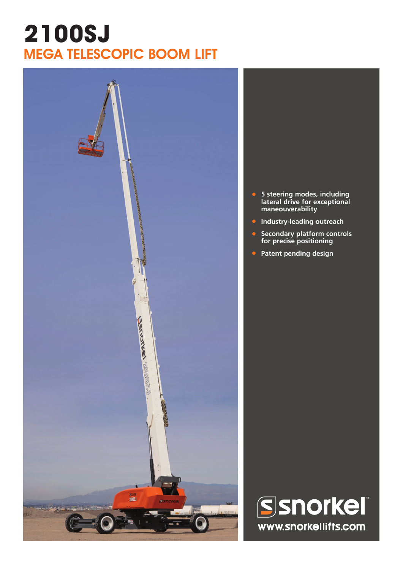## **2100SJ** MEGA TELESCOPIC BOOM LIFT



- **• 5 steering modes, including lateral drive for exceptional maneouverability**
- **• Industry-leading outreach**
- **• Secondary platform controls for precise positioning**
- **• Patent pending design**